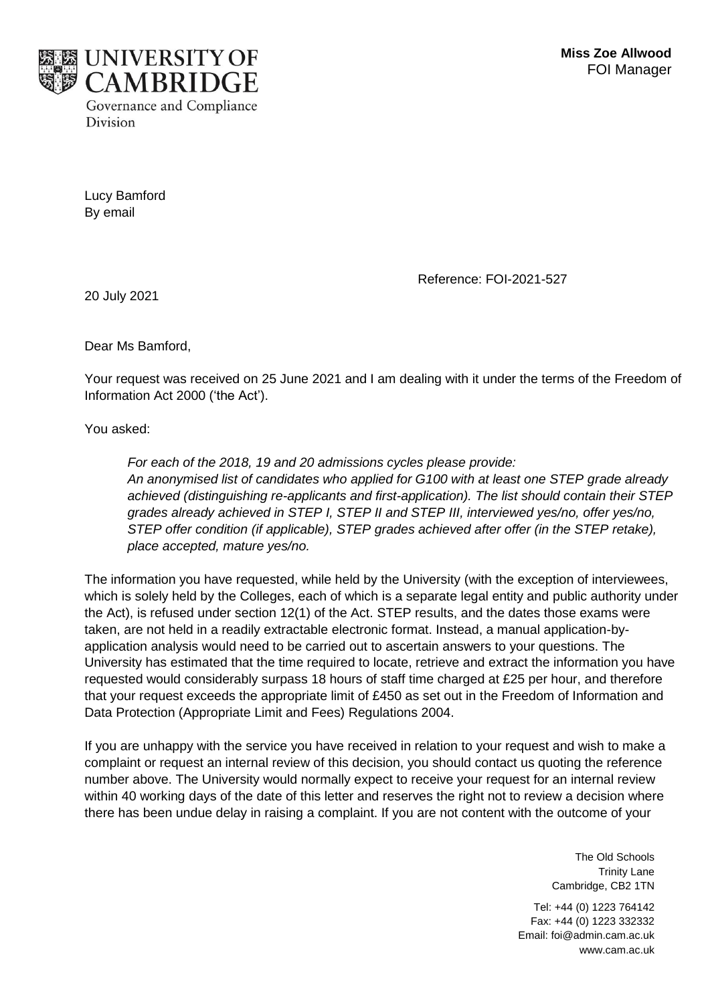

Lucy Bamford By email

Reference: FOI-2021-527

20 July 2021

Dear Ms Bamford,

Your request was received on 25 June 2021 and I am dealing with it under the terms of the Freedom of Information Act 2000 ('the Act').

You asked:

*For each of the 2018, 19 and 20 admissions cycles please provide: An anonymised list of candidates who applied for G100 with at least one STEP grade already achieved (distinguishing re-applicants and first-application). The list should contain their STEP grades already achieved in STEP I, STEP II and STEP III, interviewed yes/no, offer yes/no, STEP offer condition (if applicable), STEP grades achieved after offer (in the STEP retake), place accepted, mature yes/no.*

The information you have requested, while held by the University (with the exception of interviewees, which is solely held by the Colleges, each of which is a separate legal entity and public authority under the Act), is refused under section 12(1) of the Act. STEP results, and the dates those exams were taken, are not held in a readily extractable electronic format. Instead, a manual application-byapplication analysis would need to be carried out to ascertain answers to your questions. The University has estimated that the time required to locate, retrieve and extract the information you have requested would considerably surpass 18 hours of staff time charged at £25 per hour, and therefore that your request exceeds the appropriate limit of £450 as set out in the Freedom of Information and Data Protection (Appropriate Limit and Fees) Regulations 2004.

If you are unhappy with the service you have received in relation to your request and wish to make a complaint or request an internal review of this decision, you should contact us quoting the reference number above. The University would normally expect to receive your request for an internal review within 40 working days of the date of this letter and reserves the right not to review a decision where there has been undue delay in raising a complaint. If you are not content with the outcome of your

> The Old Schools Trinity Lane Cambridge, CB2 1TN

Tel: +44 (0) 1223 764142 Fax: +44 (0) 1223 332332 Email: foi@admin.cam.ac.uk www.cam.ac.uk